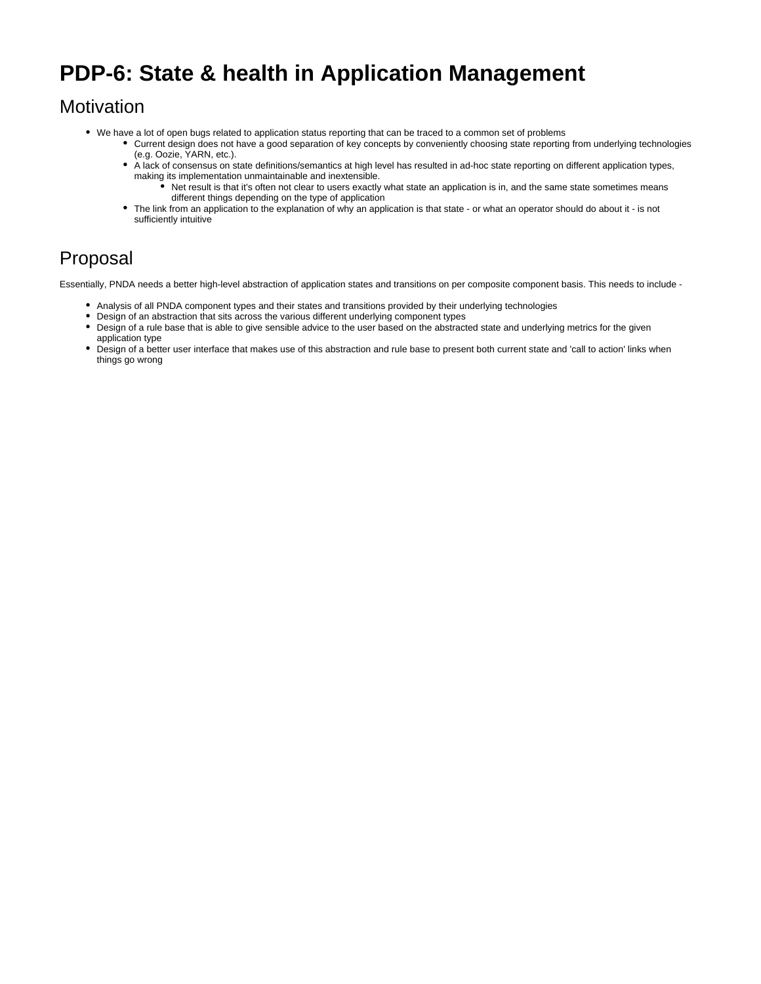# **PDP-6: State & health in Application Management**

### **Motivation**

- We have a lot of open bugs related to application status reporting that can be traced to a common set of problems
	- Current design does not have a good separation of key concepts by conveniently choosing state reporting from underlying technologies (e.g. Oozie, YARN, etc.).
	- À lack of consensus on state definitions/semantics at high level has resulted in ad-hoc state reporting on different application types, making its implementation unmaintainable and inextensible.
		- Net result is that it's often not clear to users exactly what state an application is in, and the same state sometimes means different things depending on the type of application
	- The link from an application to the explanation of why an application is that state or what an operator should do about it is not sufficiently intuitive

## Proposal

Essentially, PNDA needs a better high-level abstraction of application states and transitions on per composite component basis. This needs to include -

- Analysis of all PNDA component types and their states and transitions provided by their underlying technologies
- Design of an abstraction that sits across the various different underlying component types
- Design of a rule base that is able to give sensible advice to the user based on the abstracted state and underlying metrics for the given application type
- Design of a better user interface that makes use of this abstraction and rule base to present both current state and 'call to action' links when things go wrong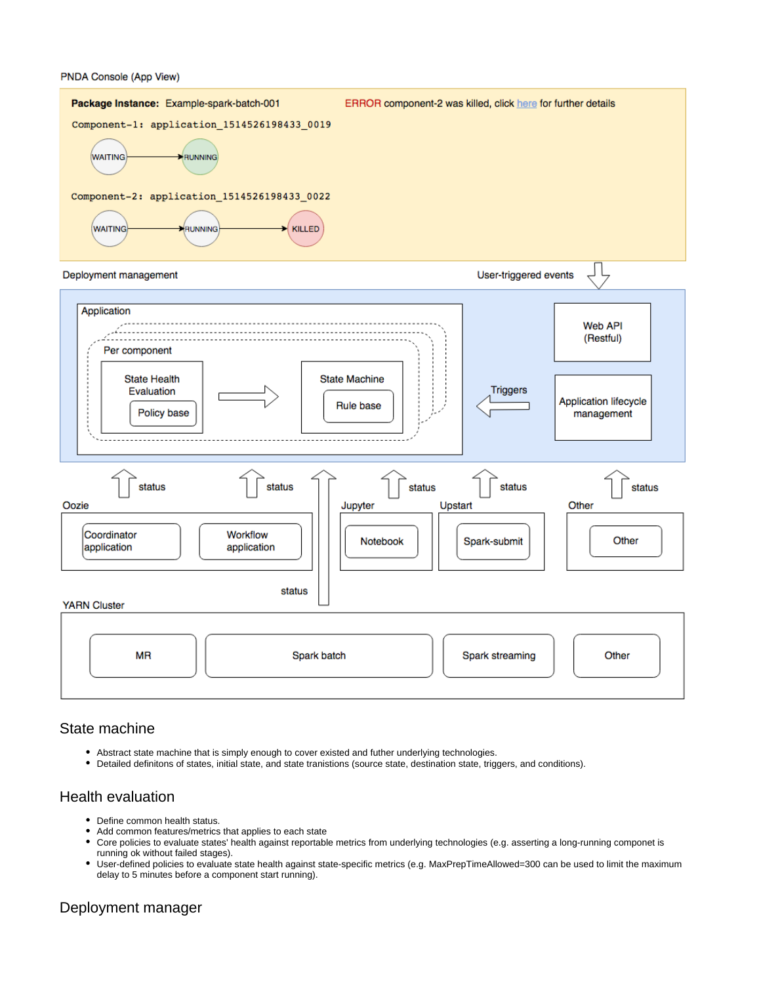#### PNDA Console (App View)



#### State machine

- Abstract state machine that is simply enough to cover existed and futher underlying technologies.
- Detailed definitons of states, initial state, and state tranistions (source state, destination state, triggers, and conditions).

#### Health evaluation

- Define common health status.
- Add common features/metrics that applies to each state
- Core policies to evaluate states' health against reportable metrics from underlying technologies (e.g. asserting a long-running componet is running ok without failed stages).
- User-defined policies to evaluate state health against state-specific metrics (e.g. MaxPrepTimeAllowed=300 can be used to limit the maximum delay to 5 minutes before a component start running).

#### Deployment manager